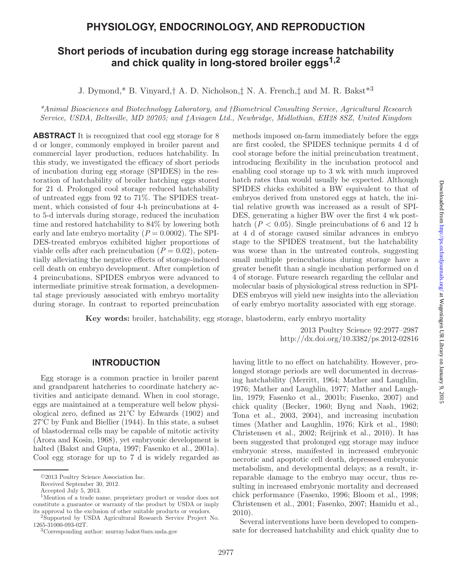# **PHYSIOLOGY, ENDOCRINOLOGY, AND REPRODUCTION**

# **Short periods of incubation during egg storage increase hatchability and chick quality in long-stored broiler eggs 1,2**

J. Dymond,\* B. Vinyard,† A. D. Nicholson, $\ddagger$  N. A. French, $\ddagger$  and M. R. Bakst<sup>\*3</sup>

 *\* Animal Biosciences and Biotechnology Laboratory, and † Biometrical Consulting Service, Agricultural Research Service, USDA, Beltsville, MD 20705; and ‡ Aviagen Ltd., Newbridge, Midlothian, EH28 8SZ, United Kingdom* 

**ABSTRACT** It is recognized that cool egg storage for 8 d or longer, commonly employed in broiler parent and commercial layer production, reduces hatchability. In this study, we investigated the efficacy of short periods of incubation during egg storage (SPIDES) in the restoration of hatchability of broiler hatching eggs stored for 21 d. Prolonged cool storage reduced hatchability of untreated eggs from 92 to 71%. The SPIDES treatment, which consisted of four 4-h preincubations at 4 to 5-d intervals during storage, reduced the incubation time and restored hatchability to 84% by lowering both early and late embryo mortality  $(P = 0.0002)$ . The SPI-DES-treated embryos exhibited higher proportions of viable cells after each preincubation  $(P = 0.02)$ , potentially alleviating the negative effects of storage-induced cell death on embryo development. After completion of 4 preincubations, SPIDES embryos were advanced to intermediate primitive streak formation, a developmental stage previously associated with embryo mortality during storage. In contrast to reported preincubation methods imposed on-farm immediately before the eggs are first cooled, the SPIDES technique permits 4 d of cool storage before the initial preincubation treatment, introducing flexibility in the incubation protocol and enabling cool storage up to 3 wk with much improved hatch rates than would usually be expected. Although SPIDES chicks exhibited a BW equivalent to that of embryos derived from unstored eggs at hatch, the initial relative growth was increased as a result of SPI-DES, generating a higher BW over the first 4 wk posthatch  $(P < 0.05)$ . Single preincubations of 6 and 12 h at 4 d of storage caused similar advances in embryo stage to the SPIDES treatment, but the hatchability was worse than in the untreated controls, suggesting small multiple preincubations during storage have a greater benefit than a single incubation performed on d 4 of storage. Future research regarding the cellular and molecular basis of physiological stress reduction in SPI-DES embryos will yield new insights into the alleviation of early embryo mortality associated with egg storage.

**Key words:** broiler, hatchability, egg storage, blastoderm, early embryo mortality

 2013 Poultry Science 92 :2977–2987 http://dx.doi.org/ 10.3382/ps.2012-02816

### **INTRODUCTION**

 Egg storage is a common practice in broiler parent and grandparent hatcheries to coordinate hatchery activities and anticipate demand. When in cool storage, eggs are maintained at a temperature well below physiological zero, defined as 21°C by Edwards (1902) and 27°C by Funk and Biellier (1944). In this state, a subset of blastodermal cells may be capable of mitotic activity (Arora and Kosin, 1968), yet embryonic development is halted (Bakst and Gupta, 1997; Fasenko et al., 2001a). Cool egg storage for up to 7 d is widely regarded as having little to no effect on hatchability. However, prolonged storage periods are well documented in decreasing hatchability (Merritt, 1964; Mather and Laughlin, 1976; Mather and Laughlin, 1977; Mather and Laughlin, 1979; Fasenko et al., 2001b; Fasenko, 2007) and chick quality (Becker, 1960; Byng and Nash, 1962; Tona et al., 2003, 2004), and increasing incubation times (Mather and Laughlin, 1976; Kirk et al., 1980; Christensen et al., 2002; Reijrink et al., 2010). It has been suggested that prolonged egg storage may induce embryonic stress, manifested in increased embryonic necrotic and apoptotic cell death, depressed embryonic metabolism, and developmental delays; as a result, irreparable damage to the embryo may occur, thus resulting in increased embryonic mortality and decreased chick performance (Fasenko, 1996; Bloom et al., 1998; Christensen et al., 2001; Fasenko, 2007; Hamidu et al., 2010).

 Several interventions have been developed to compensate for decreased hatchability and chick quality due to

<sup>© 2013</sup> Poultry Science Association Inc.

Received September 30, 2012.

Accepted July 5, 2013.

 <sup>1</sup> Mention of a trade name, proprietary product or vendor does not constitute a guarantee or warranty of the product by USDA or imply

its approval to the exclusion of other suitable products or vendors. 2 Supported by USDA Agricultural Research Service Project No. 1265-31000-093-02T.

 <sup>3</sup> Corresponding author: murray.bakst@ars.usda.gov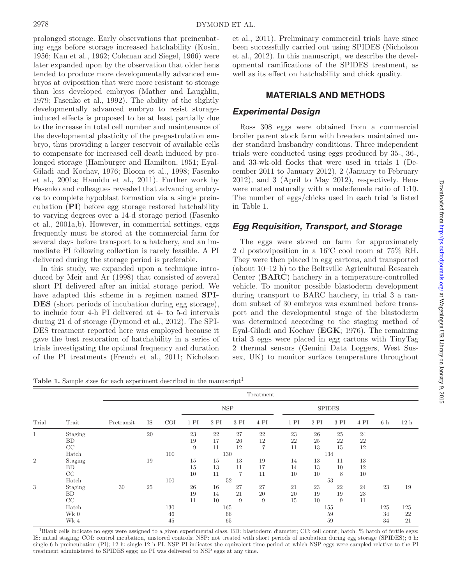prolonged storage. Early observations that preincubating eggs before storage increased hatchability (Kosin, 1956; Kan et al., 1962; Coleman and Siegel, 1966) were later expanded upon by the observation that older hens tended to produce more developmentally advanced embryos at oviposition that were more resistant to storage than less developed embryos (Mather and Laughlin, 1979; Fasenko et al., 1992). The ability of the slightly developmentally advanced embryo to resist storageinduced effects is proposed to be at least partially due to the increase in total cell number and maintenance of the developmental plasticity of the pregastrulation embryo, thus providing a larger reservoir of available cells to compensate for increased cell death induced by prolonged storage (Hamburger and Hamilton, 1951; Eyal-Giladi and Kochav, 1976; Bloom et al., 1998; Fasenko et al., 2001a; Hamidu et al., 2011). Further work by Fasenko and colleagues revealed that advancing embryos to complete hypoblast formation via a single preincubation (**PI**) before egg storage restored hatchability to varying degrees over a 14-d storage period (Fasenko et al., 2001a,b). However, in commercial settings, eggs frequently must be stored at the commercial farm for several days before transport to a hatchery, and an immediate PI following collection is rarely feasible. A PI delivered during the storage period is preferable.

In this study, we expanded upon a technique introduced by Meir and Ar (1998) that consisted of several short PI delivered after an initial storage period. We have adapted this scheme in a regimen named **SPI-DES** (short periods of incubation during egg storage), to include four 4-h PI delivered at 4- to 5-d intervals during 21 d of storage (Dymond et al., 2012). The SPI-DES treatment reported here was employed because it gave the best restoration of hatchability in a series of trials investigating the optimal frequency and duration of the PI treatments (French et al., 2011; Nicholson et al., 2011). Preliminary commercial trials have since been successfully carried out using SPIDES (Nicholson et al., 2012). In this manuscript, we describe the developmental ramifications of the SPIDES treatment, as well as its effect on hatchability and chick quality.

## **MATERIALS AND METHODS**

# *Experimental Design*

Ross 308 eggs were obtained from a commercial broiler parent stock farm with breeders maintained under standard husbandry conditions. Three independent trials were conducted using eggs produced by 35-, 36-, and 33-wk-old flocks that were used in trials 1 (December 2011 to January 2012), 2 (January to February 2012), and 3 (April to May 2012), respectively. Hens were mated naturally with a male:female ratio of 1:10. The number of eggs/chicks used in each trial is listed in Table 1.

# *Egg Requisition, Transport, and Storage*

The eggs were stored on farm for approximately 2 d postoviposition in a 16°C cool room at 75% RH. They were then placed in egg cartons, and transported (about 10–12 h) to the Beltsville Agricultural Research Center (**BARC**) hatchery in a temperature-controlled vehicle. To monitor possible blastoderm development during transport to BARC hatchery, in trial 3 a random subset of 30 embryos was examined before transport and the developmental stage of the blastoderm was determined according to the staging method of Eyal-Giladi and Kochav (**EGK**; 1976). The remaining trial 3 eggs were placed in egg cartons with TinyTag 2 thermal sensors (Gemini Data Loggers, West Sussex, UK) to monitor surface temperature throughout

**Table 1.** Sample sizes for each experiment described in the manuscript<sup>1</sup>

|                |           |            | Treatment |            |                   |                  |      |                |               |     |      |      |     |                 |
|----------------|-----------|------------|-----------|------------|-------------------|------------------|------|----------------|---------------|-----|------|------|-----|-----------------|
|                | Trait     |            | <b>IS</b> | <b>COI</b> | $_{\mathrm{NSP}}$ |                  |      |                | <b>SPIDES</b> |     |      |      |     |                 |
| Trial          |           | Pretransit |           |            | 1PI               | $2\ \mathrm{PI}$ | 3 PI | 4 PI           | 1PI           | 2PI | 3 PI | 4 PI | 6h  | 12 <sub>h</sub> |
| $\mathbf{1}$   | Staging   |            | 20        |            | 23                | 22               | 27   | 22             | 23            | 26  | 25   | 24   |     |                 |
|                | <b>BD</b> |            |           |            | 19                | 17               | 26   | 12             | 22            | 25  | 22   | 22   |     |                 |
|                | CC        |            |           |            | 9                 | 11               | 12   | $\overline{7}$ | 11            | 13  | 15   | 12   |     |                 |
|                | Hatch     |            |           | 100        | 130               |                  |      | 134            |               |     |      |      |     |                 |
| $\overline{2}$ | Staging   |            | 19        |            | 15                | 15               | 13   | 19             | 14            | 13  | 11   | 13   |     |                 |
|                | <b>BD</b> |            |           |            | 15                | 13               | 11   | 17             | 14            | 13  | 10   | 12   |     |                 |
|                | CC        |            |           |            | 10                | 11               | 7    | 11             | 10            | 10  | 8    | 10   |     |                 |
|                | Hatch     |            |           | 100        | 52                |                  |      | 53             |               |     |      |      |     |                 |
| 3              | Staging   | 30         | 25        |            | 26                | 16               | 27   | 27             | 21            | 23  | 22   | 24   | 23  | 19              |
|                | <b>BD</b> |            |           |            | 19                | 14               | 21   | 20             | 20            | 19  | 19   | 23   |     |                 |
|                | CC        |            |           |            | 11                | 10               | 9    | 9              | 15            | 10  | 9    | 11   |     |                 |
|                | Hatch     |            |           | 130        | 165               |                  |      | 155            |               |     |      | 125  | 125 |                 |
|                | $Wk$ 0    |            |           | 46         |                   |                  | 66   |                |               |     | 59   |      | 34  | 22              |
|                | Wk 4      |            |           | 45         |                   | 65               |      |                | 59            |     |      |      | 34  | 21              |

1Blank cells indicate no eggs were assigned to a given experimental class. BD: blastoderm diameter; CC: cell count; hatch: % hatch of fertile eggs; IS: initial staging; COI: control incubation, unstored controls; NSP: not treated with short periods of incubation during egg storage (SPIDES); 6 h: single 6 h preincubation (PI); 12 h: single 12 h PI. NSP PI indicates the equivalent time period at which NSP eggs were sampled relative to the PI treatment administered to SPIDES eggs; no PI was delivered to NSP eggs at any time.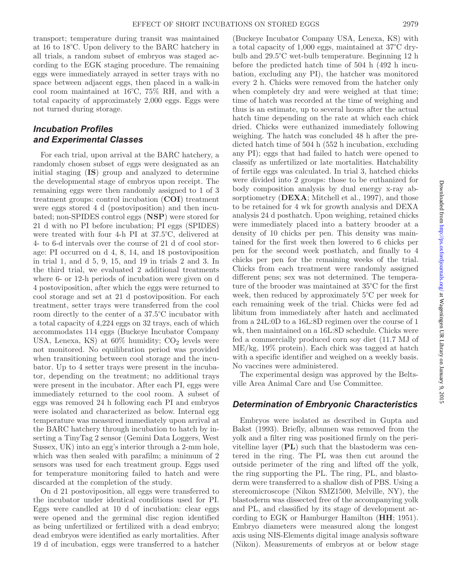transport; temperature during transit was maintained at 16 to 18°C. Upon delivery to the BARC hatchery in all trials, a random subset of embryos was staged according to the EGK staging procedure. The remaining eggs were immediately arrayed in setter trays with no space between adjacent eggs, then placed in a walk-in cool room maintained at 16°C, 75% RH, and with a total capacity of approximately 2,000 eggs. Eggs were not turned during storage.

## *Incubation Profiles and Experimental Classes*

For each trial, upon arrival at the BARC hatchery, a randomly chosen subset of eggs were designated as an initial staging (**IS**) group and analyzed to determine the developmental stage of embryos upon receipt. The remaining eggs were then randomly assigned to 1 of 3 treatment groups: control incubation (**COI**) treatment were eggs stored 4 d (postoviposition) and then incubated; non-SPIDES control eggs (**NSP**) were stored for 21 d with no PI before incubation; PI eggs (SPIDES) were treated with four 4-h PI at 37.5°C, delivered at 4- to 6-d intervals over the course of 21 d of cool storage: PI occurred on d 4, 8, 14, and 18 postoviposition in trial 1, and d 5, 9, 15, and 19 in trials 2 and 3. In the third trial, we evaluated 2 additional treatments where 6- or 12-h periods of incubation were given on d 4 postoviposition, after which the eggs were returned to cool storage and set at 21 d postoviposition. For each treatment, setter trays were transferred from the cool room directly to the center of a 37.5°C incubator with a total capacity of 4,224 eggs on 32 trays, each of which accommodates 114 eggs (Buckeye Incubator Company USA, Lenexa, KS) at  $60\%$  humidity;  $CO<sub>2</sub>$  levels were not monitored. No equilibration period was provided when transitioning between cool storage and the incubator. Up to 4 setter trays were present in the incubator, depending on the treatment; no additional trays were present in the incubator. After each PI, eggs were immediately returned to the cool room. A subset of eggs was removed 24 h following each PI and embryos were isolated and characterized as below. Internal egg temperature was measured immediately upon arrival at the BARC hatchery through incubation to hatch by inserting a TinyTag 2 sensor (Gemini Data Loggers, West Sussex, UK) into an egg's interior through a 2-mm hole, which was then sealed with parafilm; a minimum of 2 sensors was used for each treatment group. Eggs used for temperature monitoring failed to hatch and were discarded at the completion of the study.

On d 21 postoviposition, all eggs were transferred to the incubator under identical conditions used for PI. Eggs were candled at 10 d of incubation: clear eggs were opened and the germinal disc region identified as being unfertilized or fertilized with a dead embryo; dead embryos were identified as early mortalities. After 19 d of incubation, eggs were transferred to a hatcher Downloaded from http://ps.oxfordjournals.org/ at Wageningen UR Library on January 9, 2015 Downloaded from <http://ps.oxfordjournals.org/> at Wageningen UR Library on January 9, 2015

(Buckeye Incubator Company USA, Lenexa, KS) with a total capacity of 1,000 eggs, maintained at 37°C drybulb and 29.5°C wet-bulb temperature. Beginning 12 h before the predicted hatch time of 504 h (492 h incubation, excluding any PI), the hatcher was monitored every 2 h. Chicks were removed from the hatcher only when completely dry and were weighed at that time; time of hatch was recorded at the time of weighing and thus is an estimate, up to several hours after the actual hatch time depending on the rate at which each chick dried. Chicks were euthanized immediately following weighing. The hatch was concluded 48 h after the predicted hatch time of 504 h (552 h incubation, excluding any PI); eggs that had failed to hatch were opened to classify as unfertilized or late mortalities. Hatchability of fertile eggs was calculated. In trial 3, hatched chicks were divided into 2 groups: those to be euthanized for body composition analysis by dual energy x-ray absorptiometry (**DEXA**; Mitchell et al., 1997), and those to be retained for 4 wk for growth analysis and DEXA analysis 24 d posthatch. Upon weighing, retained chicks were immediately placed into a battery brooder at a density of 10 chicks per pen. This density was maintained for the first week then lowered to 6 chicks per pen for the second week posthatch, and finally to 4 chicks per pen for the remaining weeks of the trial. Chicks from each treatment were randomly assigned different pens; sex was not determined. The temperature of the brooder was maintained at 35°C for the first week, then reduced by approximately 5°C per week for each remaining week of the trial. Chicks were fed ad libitum from immediately after hatch and acclimated from a 24L:0D to a 16L:8D regimen over the course of 1 wk, then maintained on a 16L:8D schedule. Chicks were fed a commercially produced corn soy diet (11.7 MJ of ME/kg, 19% protein). Each chick was tagged at hatch with a specific identifier and weighed on a weekly basis. No vaccines were administered.

The experimental design was approved by the Beltsville Area Animal Care and Use Committee.

### *Determination of Embryonic Characteristics*

Embryos were isolated as described in Gupta and Bakst (1993). Briefly, albumen was removed from the yolk and a filter ring was positioned firmly on the perivitelline layer (**PL**) such that the blastoderm was centered in the ring. The PL was then cut around the outside perimeter of the ring and lifted off the yolk, the ring supporting the PL. The ring, PL, and blastoderm were transferred to a shallow dish of PBS. Using a stereomicroscope (Nikon SMZ1500, Melville, NY), the blastoderm was dissected free of the accompanying yolk and PL, and classified by its stage of development according to EGK or Hamburger Hamilton (**HH**; 1951). Embryo diameters were measured along the longest axis using NIS-Elements digital image analysis software (Nikon). Measurements of embryos at or below stage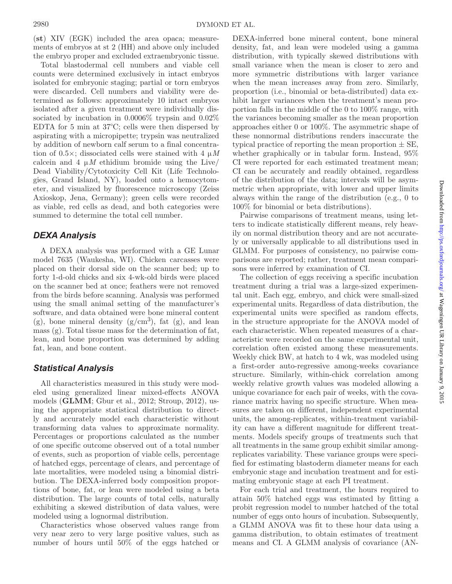(**st**) XIV (EGK) included the area opaca; measurements of embryos at st 2 (HH) and above only included the embryo proper and excluded extraembryonic tissue.

Total blastodermal cell numbers and viable cell counts were determined exclusively in intact embryos isolated for embryonic staging; partial or torn embryos were discarded. Cell numbers and viability were determined as follows: approximately 10 intact embryos isolated after a given treatment were individually dissociated by incubation in 0.0006% trypsin and 0.02% EDTA for 5 min at 37°C; cells were then dispersed by aspirating with a micropipette; trypsin was neutralized by addition of newborn calf serum to a final concentration of  $0.5 \times$ ; dissociated cells were stained with  $4 \mu M$ calcein and 4  $\mu$ *M* ethidium bromide using the Live/ Dead Viability/Cytotoxicity Cell Kit (Life Technologies, Grand Island, NY), loaded onto a hemocytometer, and visualized by fluorescence microscopy (Zeiss Axioskop, Jena, Germany); green cells were recorded as viable, red cells as dead, and both categories were summed to determine the total cell number.

#### *DEXA Analysis*

A DEXA analysis was performed with a GE Lunar model 7635 (Waukesha, WI). Chicken carcasses were placed on their dorsal side on the scanner bed; up to forty 1-d-old chicks and six 4-wk-old birds were placed on the scanner bed at once; feathers were not removed from the birds before scanning. Analysis was performed using the small animal setting of the manufacturer's software, and data obtained were bone mineral content (g), bone mineral density  $(g/cm^3)$ , fat (g), and lean mass (g). Total tissue mass for the determination of fat, lean, and bone proportion was determined by adding fat, lean, and bone content.

### *Statistical Analysis*

All characteristics measured in this study were modeled using generalized linear mixed-effects ANOVA models (**GLMM**; Gbur et al., 2012; Stroup, 2012), using the appropriate statistical distribution to directly and accurately model each characteristic without transforming data values to approximate normality. Percentages or proportions calculated as the number of one specific outcome observed out of a total number of events, such as proportion of viable cells, percentage of hatched eggs, percentage of clears, and percentage of late mortalities, were modeled using a binomial distribution. The DEXA-inferred body composition proportions of bone, fat, or lean were modeled using a beta distribution. The large counts of total cells, naturally exhibiting a skewed distribution of data values, were modeled using a lognormal distribution.

Characteristics whose observed values range from very near zero to very large positive values, such as number of hours until 50% of the eggs hatched or DEXA-inferred bone mineral content, bone mineral density, fat, and lean were modeled using a gamma distribution, with typically skewed distributions with small variance when the mean is closer to zero and more symmetric distributions with larger variance when the mean increases away from zero. Similarly, proportion (i.e., binomial or beta-distributed) data exhibit larger variances when the treatment's mean proportion falls in the middle of the 0 to 100% range, with the variances becoming smaller as the mean proportion approaches either 0 or 100%. The asymmetric shape of these nonnormal distributions renders inaccurate the typical practice of reporting the mean proportion  $\pm$  SE, whether graphically or in tabular form. Instead, 95% CI were reported for each estimated treatment mean; CI can be accurately and readily obtained, regardless of the distribution of the data; intervals will be asymmetric when appropriate, with lower and upper limits always within the range of the distribution (e.g., 0 to 100% for binomial or beta distributions).

Pairwise comparisons of treatment means, using letters to indicate statistically different means, rely heavily on normal distribution theory and are not accurately or universally applicable to all distributions used in GLMM. For purposes of consistency, no pairwise comparisons are reported; rather, treatment mean comparisons were inferred by examination of CI.

The collection of eggs receiving a specific incubation treatment during a trial was a large-sized experimental unit. Each egg, embryo, and chick were small-sized experimental units. Regardless of data distribution, the experimental units were specified as random effects, in the structure appropriate for the ANOVA model of each characteristic. When repeated measures of a characteristic were recorded on the same experimental unit, correlation often existed among these measurements. Weekly chick BW, at hatch to 4 wk, was modeled using a first-order auto-regressive among-weeks covariance structure. Similarly, within-chick correlation among weekly relative growth values was modeled allowing a unique covariance for each pair of weeks, with the covariance matrix having no specific structure. When measures are taken on different, independent experimental units, the among-replicates, within-treatment variability can have a different magnitude for different treatments. Models specify groups of treatments such that all treatments in the same group exhibit similar amongreplicates variability. These variance groups were specified for estimating blastoderm diameter means for each embryonic stage and incubation treatment and for estimating embryonic stage at each PI treatment.

For each trial and treatment, the hours required to attain 50% hatched eggs was estimated by fitting a probit regression model to number hatched of the total number of eggs onto hours of incubation. Subsequently, a GLMM ANOVA was fit to these hour data using a gamma distribution, to obtain estimates of treatment means and CI. A GLMM analysis of covariance (AN-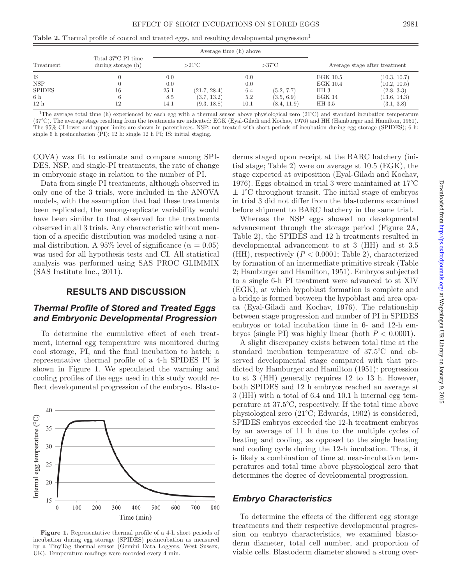Table 2. Thermal profile of control and treated eggs, and resulting developmental progression<sup>1</sup>

|                 |                                          |                 | Average time (h) above |      |                 |                               |              |  |
|-----------------|------------------------------------------|-----------------|------------------------|------|-----------------|-------------------------------|--------------|--|
| Treatment       | Total 37°C PI time<br>during storage (h) | $>21^{\circ}$ C |                        |      | $>37^{\circ}$ C | Average stage after treatment |              |  |
| <b>IS</b>       |                                          | 0.0             |                        | 0.0  |                 | EGK 10.5                      | (10.3, 10.7) |  |
| <b>NSP</b>      |                                          | 0.0             |                        | 0.0  |                 | EGK 10.4                      | (10.2, 10.5) |  |
| <b>SPIDES</b>   | 16                                       | 25.1            | (21.7, 28.4)           | 6.4  | (5.2, 7.7)      | HH <sub>3</sub>               | (2.8, 3.3)   |  |
| 6h              |                                          | 8.5             | (3.7, 13.2)            | 5.2  | (3.5, 6.9)      | EGK 14                        | (13.6, 14.3) |  |
| 12 <sub>h</sub> | 12                                       | 14.1            | (9.3, 18.8)            | 10.1 | (8.4, 11.9)     | HH 3.5                        | (3.1, 3.8)   |  |

<sup>1</sup>The average total time (h) experienced by each egg with a thermal sensor above physiological zero  $(21^{\circ}\text{C})$  and standard incubation temperature (37°C). The average stage resulting from the treatments are indicated: EGK (Eyal-Giladi and Kochav, 1976) and HH (Hamburger and Hamilton, 1951). The 95% CI lower and upper limits are shown in parentheses. NSP: not treated with short periods of incubation during egg storage (SPIDES); 6 h: single 6 h preincubation (PI); 12 h: single 12 h PI; IS: initial staging.

COVA) was fit to estimate and compare among SPI-DES, NSP, and single-PI treatments, the rate of change in embryonic stage in relation to the number of PI.

Data from single PI treatments, although observed in only one of the 3 trials, were included in the ANOVA models, with the assumption that had these treatments been replicated, the among-replicate variability would have been similar to that observed for the treatments observed in all 3 trials. Any characteristic without mention of a specific distribution was modeled using a normal distribution. A 95% level of significance ( $\alpha = 0.05$ ) was used for all hypothesis tests and CI. All statistical analysis was performed using SAS PROC GLIMMIX (SAS Institute Inc., 2011).

#### **RESULTS AND DISCUSSION**

### *Thermal Profile of Stored and Treated Eggs and Embryonic Developmental Progression*

To determine the cumulative effect of each treatment, internal egg temperature was monitored during cool storage, PI, and the final incubation to hatch; a representative thermal profile of a 4-h SPIDES PI is shown in Figure 1. We speculated the warming and cooling profiles of the eggs used in this study would reflect developmental progression of the embryos. Blasto-



**Figure 1.** Representative thermal profile of a 4-h short periods of incubation during egg storage (SPIDES) preincubation as measured by a TinyTag thermal sensor (Gemini Data Loggers, West Sussex, UK). Temperature readings were recorded every 4 min.

derms staged upon receipt at the BARC hatchery (initial stage; Table 2) were on average st 10.5 (EGK), the stage expected at oviposition (Eyal-Giladi and Kochav, 1976). Eggs obtained in trial 3 were maintained at 17°C  $\pm$  1°C throughout transit. The initial stage of embryos in trial 3 did not differ from the blastoderms examined before shipment to BARC hatchery in the same trial.

Whereas the NSP eggs showed no developmental advancement through the storage period (Figure 2A, Table 2), the SPIDES and 12 h treatments resulted in developmental advancement to st 3 (HH) and st 3.5 (HH), respectively (*P* < 0.0001; Table 2), characterized by formation of an intermediate primitive streak (Table 2; Hamburger and Hamilton, 1951). Embryos subjected to a single 6-h PI treatment were advanced to st XIV (EGK), at which hypoblast formation is complete and a bridge is formed between the hypoblast and area opaca (Eyal-Giladi and Kochav, 1976). The relationship between stage progression and number of PI in SPIDES embryos or total incubation time in 6- and 12-h embryos (single PI) was highly linear (both *P* < 0.0001).

A slight discrepancy exists between total time at the standard incubation temperature of 37.5°C and observed developmental stage compared with that predicted by Hamburger and Hamilton (1951): progression to st 3 (HH) generally requires 12 to 13 h. However, both SPIDES and 12 h embryos reached an average st 3 (HH) with a total of 6.4 and 10.1 h internal egg temperature at 37.5°C, respectively. If the total time above physiological zero (21°C; Edwards, 1902) is considered, SPIDES embryos exceeded the 12-h treatment embryos by an average of 11 h due to the multiple cycles of heating and cooling, as opposed to the single heating and cooling cycle during the 12-h incubation. Thus, it is likely a combination of time at near-incubation temperatures and total time above physiological zero that determines the degree of developmental progression.

#### *Embryo Characteristics*

To determine the effects of the different egg storage treatments and their respective developmental progression on embryo characteristics, we examined blastoderm diameter, total cell number, and proportion of viable cells. Blastoderm diameter showed a strong over-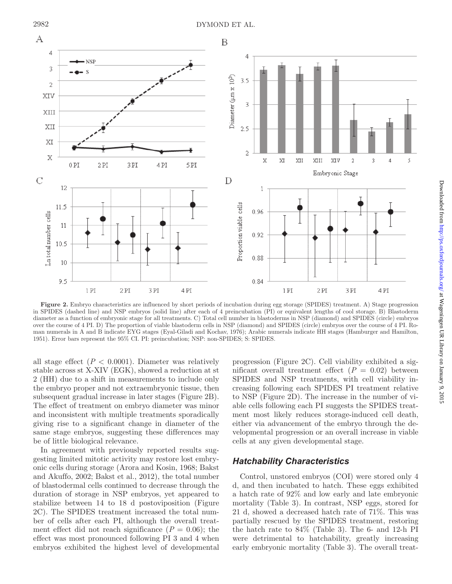

**Figure 2.** Embryo characteristics are influenced by short periods of incubation during egg storage (SPIDES) treatment. A) Stage progression in SPIDES (dashed line) and NSP embryos (solid line) after each of 4 preincubation (PI) or equivalent lengths of cool storage. B) Blastoderm diameter as a function of embryonic stage for all treatments. C) Total cell number in blastoderms in NSP (diamond) and SPIDES (circle) embryos over the course of 4 PI. D) The proportion of viable blastoderm cells in NSP (diamond) and SPIDES (circle) embryos over the course of 4 PI. Roman numerals in A and B indicate EYG stages (Eyal-Giladi and Kochav, 1976); Arabic numerals indicate HH stages (Hamburger and Hamilton, 1951). Error bars represent the 95% CI. PI: preincubation; NSP: non-SPIDES; S: SPIDES.

all stage effect  $(P < 0.0001)$ . Diameter was relatively stable across st X-XIV (EGK), showed a reduction at st 2 (HH) due to a shift in measurements to include only the embryo proper and not extraembryonic tissue, then subsequent gradual increase in later stages (Figure 2B). The effect of treatment on embryo diameter was minor and inconsistent with multiple treatments sporadically giving rise to a significant change in diameter of the same stage embryos, suggesting these differences may be of little biological relevance.

In agreement with previously reported results suggesting limited mitotic activity may restore lost embryonic cells during storage (Arora and Kosin, 1968; Bakst and Akuffo, 2002; Bakst et al., 2012), the total number of blastodermal cells continued to decrease through the duration of storage in NSP embryos, yet appeared to stabilize between 14 to 18 d postoviposition (Figure 2C). The SPIDES treatment increased the total number of cells after each PI, although the overall treatment effect did not reach significance  $(P = 0.06)$ ; the effect was most pronounced following PI 3 and 4 when embryos exhibited the highest level of developmental progression (Figure 2C). Cell viability exhibited a significant overall treatment effect  $(P = 0.02)$  between SPIDES and NSP treatments, with cell viability increasing following each SPIDES PI treatment relative to NSP (Figure 2D). The increase in the number of viable cells following each PI suggests the SPIDES treatment most likely reduces storage-induced cell death, either via advancement of the embryo through the developmental progression or an overall increase in viable cells at any given developmental stage.

### *Hatchability Characteristics*

Control, unstored embryos (COI) were stored only 4 d, and then incubated to hatch. These eggs exhibited a hatch rate of 92% and low early and late embryonic mortality (Table 3). In contrast, NSP eggs, stored for 21 d, showed a decreased hatch rate of 71%. This was partially rescued by the SPIDES treatment, restoring the hatch rate to 84% (Table 3). The 6- and 12-h PI were detrimental to hatchability, greatly increasing early embryonic mortality (Table 3). The overall treat-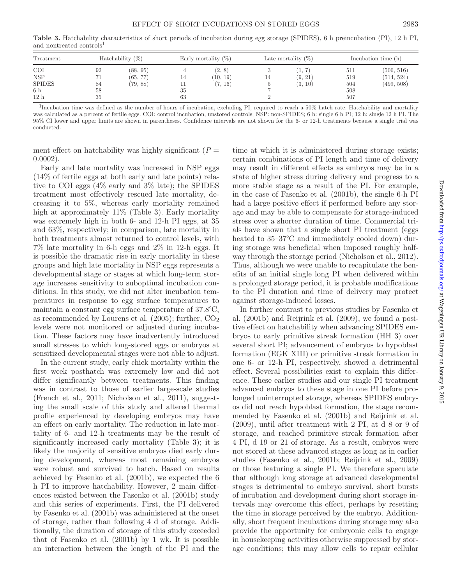**Table 3.** Hatchability characteristics of short periods of incubation during egg storage (SPIDES), 6 h preincubation (PI), 12 h PI, and nontreated controls<sup>1</sup>

| Treatment       | Hatchability $(\%)$ |          |    | Early mortality $(\%)$ |    | Late mortality $(\%)$ | Incubation time (h) |            |  |
|-----------------|---------------------|----------|----|------------------------|----|-----------------------|---------------------|------------|--|
| <b>COI</b>      | 92                  | (88, 95) |    | (2, 8)                 |    | (1, 7)                | 511                 | (506, 516) |  |
| <b>NSP</b>      | 71                  | (65, 77) | 14 | (10, 19)               | 14 | (9, 21)               | 519                 | (514, 524) |  |
| <b>SPIDES</b>   | 84                  | (79, 88) | ᆠ  | (7, 16)                | Ğ. | (3, 10)               | 504                 | (499, 508) |  |
| 6h              | 58                  |          | 35 |                        |    |                       | 508                 |            |  |
| 12 <sub>h</sub> | 35                  |          | 63 |                        |    |                       | 507                 |            |  |

<sup>1</sup>Incubation time was defined as the number of hours of incubation, excluding PI, required to reach a 50% hatch rate. Hatchability and mortality was calculated as a percent of fertile eggs. COI: control incubation, unstored controls; NSP: non-SPIDES; 6 h: single 6 h PI; 12 h: single 12 h PI. The 95% CI lower and upper limits are shown in parentheses. Confidence intervals are not shown for the 6- or 12-h treatments because a single trial was conducted.

ment effect on hatchability was highly significant  $(P =$ 0.0002).

Early and late mortality was increased in NSP eggs (14% of fertile eggs at both early and late points) relative to COI eggs (4% early and 3% late); the SPIDES treatment most effectively rescued late mortality, decreasing it to 5%, whereas early mortality remained high at approximately 11% (Table 3). Early mortality was extremely high in both 6- and 12-h PI eggs, at 35 and 63%, respectively; in comparison, late mortality in both treatments almost returned to control levels, with 7% late mortality in 6-h eggs and 2% in 12-h eggs. It is possible the dramatic rise in early mortality in these groups and high late mortality in NSP eggs represents a developmental stage or stages at which long-term storage increases sensitivity to suboptimal incubation conditions. In this study, we did not alter incubation temperatures in response to egg surface temperatures to maintain a constant egg surface temperature of 37.8°C, as recommended by Lourens et al.  $(2005)$ ; further,  $CO<sub>2</sub>$ levels were not monitored or adjusted during incubation. These factors may have inadvertently introduced small stresses to which long-stored eggs or embryos at sensitized developmental stages were not able to adjust.

In the current study, early chick mortality within the first week posthatch was extremely low and did not differ significantly between treatments. This finding was in contrast to those of earlier large-scale studies (French et al., 2011; Nicholson et al., 2011), suggesting the small scale of this study and altered thermal profile experienced by developing embryos may have an effect on early mortality. The reduction in late mortality of 6- and 12-h treatments may be the result of significantly increased early mortality (Table 3); it is likely the majority of sensitive embryos died early during development, whereas most remaining embryos were robust and survived to hatch. Based on results achieved by Fasenko et al. (2001b), we expected the 6 h PI to improve hatchability. However, 2 main differences existed between the Fasenko et al. (2001b) study and this series of experiments. First, the PI delivered by Fasenko et al. (2001b) was administered at the onset of storage, rather than following 4 d of storage. Additionally, the duration of storage of this study exceeded that of Fasenko et al. (2001b) by 1 wk. It is possible an interaction between the length of the PI and the time at which it is administered during storage exists; certain combinations of PI length and time of delivery may result in different effects as embryos may be in a state of higher stress during delivery and progress to a more stable stage as a result of the PI. For example, in the case of Fasenko et al. (2001b), the single 6-h PI had a large positive effect if performed before any storage and may be able to compensate for storage-induced stress over a shorter duration of time. Commercial trials have shown that a single short PI treatment (eggs heated to 35–37°C and immediately cooled down) during storage was beneficial when imposed roughly halfway through the storage period (Nicholson et al., 2012). Thus, although we were unable to recapitulate the benefits of an initial single long PI when delivered within a prolonged storage period, it is probable modifications to the PI duration and time of delivery may protect against storage-induced losses.

In further contrast to previous studies by Fasenko et al. (2001b) and Reijrink et al. (2009), we found a positive effect on hatchability when advancing SPIDES embryos to early primitive streak formation (HH 3) over several short PI; advancement of embryos to hypoblast formation (EGK XIII) or primitive streak formation in one 6- or 12-h PI, respectively, showed a detrimental effect. Several possibilities exist to explain this difference. These earlier studies and our single PI treatment advanced embryos to these stage in one PI before prolonged uninterrupted storage, whereas SPIDES embryos did not reach hypoblast formation, the stage recommended by Fasenko et al. (2001b) and Reijrink et al. (2009), until after treatment with 2 PI, at d 8 or 9 of storage, and reached primitive streak formation after 4 PI, d 19 or 21 of storage. As a result, embryos were not stored at these advanced stages as long as in earlier studies (Fasenko et al., 2001b; Reijrink et al., 2009) or those featuring a single PI. We therefore speculate that although long storage at advanced developmental stages is detrimental to embryo survival, short bursts of incubation and development during short storage intervals may overcome this effect, perhaps by resetting the time in storage perceived by the embryo. Additionally, short frequent incubations during storage may also provide the opportunity for embryonic cells to engage in housekeeping activities otherwise suppressed by storage conditions; this may allow cells to repair cellular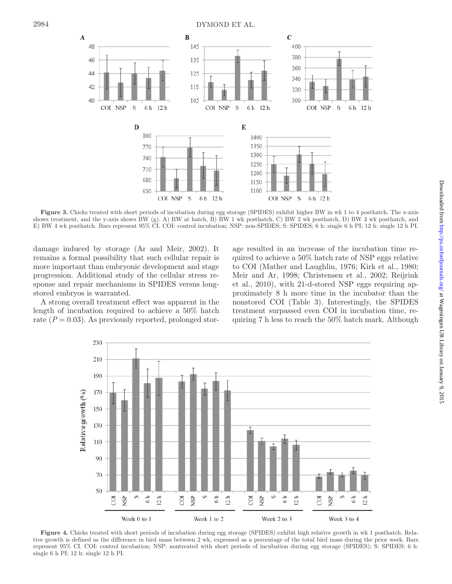2984 DYMOND ET AL.



**Figure 3.** Chicks treated with short periods of incubation during egg storage (SPIDES) exhibit higher BW in wk 1 to 4 posthatch. The x-axis shows treatment, and the y-axis shows BW (g). A) BW at hatch, B) BW 1 wk posthatch, C) BW 2 wk posthatch, D) BW 3 wk posthatch, and E) BW 4 wk posthatch. Bars represent 95% CI. COI: control incubation; NSP: non-SPIDES; S: SPIDES; 6 h: single 6 h PI; 12 h: single 12 h PI.

damage induced by storage (Ar and Meir, 2002). It remains a formal possibility that such cellular repair is more important than embryonic development and stage progression. Additional study of the cellular stress response and repair mechanisms in SPIDES versus longstored embryos is warranted.

A strong overall treatment effect was apparent in the length of incubation required to achieve a 50% hatch rate  $(P = 0.03)$ . As previously reported, prolonged storage resulted in an increase of the incubation time required to achieve a 50% hatch rate of NSP eggs relative to COI (Mather and Laughlin, 1976; Kirk et al., 1980; Meir and Ar, 1998; Christensen et al., 2002; Reijrink et al., 2010), with 21-d-stored NSP eggs requiring approximately 8 h more time in the incubator than the nonstored COI (Table 3). Interestingly, the SPIDES treatment surpassed even COI in incubation time, requiring 7 h less to reach the 50% hatch mark. Although



**Figure 4.** Chicks treated with short periods of incubation during egg storage (SPIDES) exhibit high relative growth in wk 1 posthatch. Relative growth is defined as the difference in bird mass between 2 wk, expressed as a percentage of the total bird mass during the prior week. Bars represent 95% CI. COI: control incubation; NSP: nontreated with short periods of incubation during egg storage (SPIDES); S: SPIDES; 6 h: single 6 h PI; 12 h: single 12 h PI.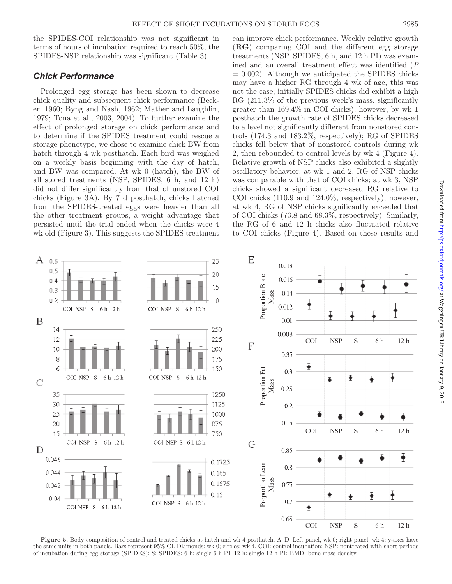the SPIDES-COI relationship was not significant in terms of hours of incubation required to reach 50%, the SPIDES-NSP relationship was significant (Table 3).

### *Chick Performance*

Prolonged egg storage has been shown to decrease chick quality and subsequent chick performance (Becker, 1960; Byng and Nash, 1962; Mather and Laughlin, 1979; Tona et al., 2003, 2004). To further examine the effect of prolonged storage on chick performance and to determine if the SPIDES treatment could rescue a storage phenotype, we chose to examine chick BW from hatch through 4 wk posthatch. Each bird was weighed on a weekly basis beginning with the day of hatch, and BW was compared. At wk 0 (hatch), the BW of all stored treatments (NSP, SPIDES, 6 h, and 12 h) did not differ significantly from that of unstored COI chicks (Figure 3A). By 7 d posthatch, chicks hatched from the SPIDES-treated eggs were heavier than all the other treatment groups, a weight advantage that persisted until the trial ended when the chicks were 4 wk old (Figure 3). This suggests the SPIDES treatment can improve chick performance. Weekly relative growth (**RG**) comparing COI and the different egg storage treatments (NSP, SPIDES, 6 h, and 12 h PI) was examined and an overall treatment effect was identified (*P*  $= 0.002$ . Although we anticipated the SPIDES chicks may have a higher RG through 4 wk of age, this was not the case; initially SPIDES chicks did exhibit a high RG (211.3% of the previous week's mass, significantly greater than 169.4% in COI chicks); however, by wk 1 posthatch the growth rate of SPIDES chicks decreased to a level not significantly different from nonstored controls (174.3 and 183.2%, respectively); RG of SPIDES chicks fell below that of nonstored controls during wk 2, then rebounded to control levels by wk 4 (Figure 4). Relative growth of NSP chicks also exhibited a slightly oscillatory behavior: at wk 1 and 2, RG of NSP chicks was comparable with that of COI chicks; at wk 3, NSP chicks showed a significant decreased RG relative to COI chicks (110.9 and 124.0%, respectively); however, at wk 4, RG of NSP chicks significantly exceeded that of COI chicks (73.8 and 68.3%, respectively). Similarly, the RG of 6 and 12 h chicks also fluctuated relative to COI chicks (Figure 4). Based on these results and



**Figure 5.** Body composition of control and treated chicks at hatch and wk 4 posthatch. A–D. Left panel, wk 0; right panel, wk 4; y-axes have the same units in both panels. Bars represent 95% CI. Diamonds: wk 0; circles: wk 4. COI: control incubation; NSP: nontreated with short periods of incubation during egg storage (SPIDES); S: SPIDES; 6 h: single 6 h PI; 12 h: single 12 h PI; BMD: bone mass density.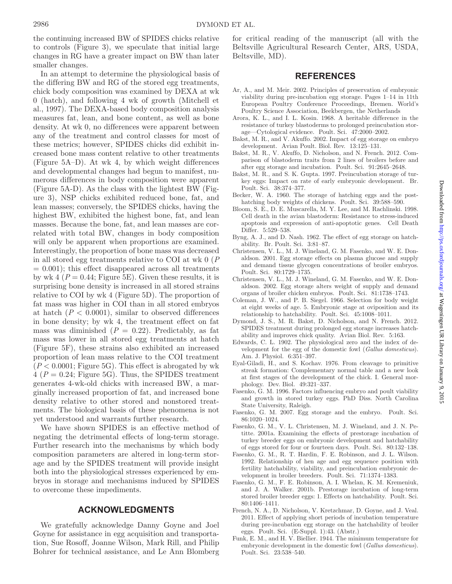the continuing increased BW of SPIDES chicks relative to controls (Figure 3), we speculate that initial large changes in RG have a greater impact on BW than later smaller changes.

In an attempt to determine the physiological basis of the differing BW and RG of the stored egg treatments, chick body composition was examined by DEXA at wk 0 (hatch), and following 4 wk of growth (Mitchell et al., 1997). The DEXA-based body composition analysis measures fat, lean, and bone content, as well as bone density. At wk 0, no differences were apparent between any of the treatment and control classes for most of these metrics; however, SPIDES chicks did exhibit increased bone mass content relative to other treatments (Figure 5A–D). At wk 4, by which weight differences and developmental changes had begun to manifest, numerous differences in body composition were apparent (Figure 5A-D). As the class with the lightest BW (Figure 3), NSP chicks exhibited reduced bone, fat, and lean masses; conversely, the SPIDES chicks, having the highest BW, exhibited the highest bone, fat, and lean masses. Because the bone, fat, and lean masses are correlated with total BW, changes in body composition will only be apparent when proportions are examined. Interestingly, the proportion of bone mass was decreased in all stored egg treatments relative to COI at wk 0 (*P*  $= 0.001$ ; this effect disappeared across all treatments by wk 4 ( $P = 0.44$ ; Figure 5E). Given these results, it is surprising bone density is increased in all stored strains relative to COI by wk 4 (Figure 5D). The proportion of fat mass was higher in COI than in all stored embryos at hatch  $(P < 0.0001)$ , similar to observed differences in bone density; by wk 4, the treatment effect on fat mass was diminished  $(P = 0.22)$ . Predictably, as fat mass was lower in all stored egg treatments at hatch (Figure 5F), these strains also exhibited an increased proportion of lean mass relative to the COI treatment  $(P < 0.0001$ ; Figure 5G). This effect is abrogated by wk  $4 (P = 0.24;$  Figure 5G). Thus, the SPIDES treatment generates 4-wk-old chicks with increased BW, a marginally increased proportion of fat, and increased bone density relative to other stored and nonstored treatments. The biological basis of these phenomena is not yet understood and warrants further research.

We have shown SPIDES is an effective method of negating the detrimental effects of long-term storage. Further research into the mechanisms by which body composition parameters are altered in long-term storage and by the SPIDES treatment will provide insight both into the physiological stresses experienced by embryos in storage and mechanisms induced by SPIDES to overcome these impediments.

#### **ACKNOWLEDGMENTS**

We gratefully acknowledge Danny Goyne and Joel Goyne for assistance in egg acquisition and transportation, Sue Rosoff, Joanne Wilson, Mark Rill, and Philip Bohrer for technical assistance, and Le Ann Blomberg

for critical reading of the manuscript (all with the Beltsville Agricultural Research Center, ARS, USDA, Beltsville, MD).

#### **REFERENCES**

- Ar, A., and M. Meir. 2002. Principles of preservation of embryonic viability during pre-incubation egg storage. Pages 1–14 in 11th European Poultry Conference Proceedings, Bremen. World's Poultry Science Association, Beekbergen, the Netherlands
- Arora, K. L., and I. L. Kosin. 1968. A heritable difference in the resistance of turkey blastoderms to prolonged preincubation storage—Cytological evidence. Poult. Sci. 47:2000–2002.
- Bakst, M. R., and V. Akuffo. 2002. Impact of egg storage on embryo development. Avian Poult. Biol. Rev. 13:125–131.
- Bakst, M. R., V. Akuffo, D. Nicholson, and N. French. 2012. Comparison of blastoderm traits from 2 lines of broilers before and after egg storage and incubation. Poult. Sci. 91:2645–2648.
- Bakst, M. R., and S. K. Gupta. 1997. Preincubation storage of turkey eggs: Impact on rate of early embryonic development. Br. Poult. Sci. 38:374–377.
- Becker, W. A. 1960. The storage of hatching eggs and the posthatching body weights of chickens. Poult. Sci. 39:588–590.
- Bloom, S. E., D. E. Muscarella, M. Y. Lee, and M. Rachlinski. 1998. Cell death in the avian blastoderm: Resistance to stress-induced apoptosis and expression of anti-apoptotic genes. Cell Death Differ. 5:529–538.
- Byng, A. J., and D. Nash. 1962. The effect of egg storage on hatchability. Br. Poult. Sci. 3:81–87.
- Christensen, V. L., M. J. Wineland, G. M. Fasenko, and W. E. Donaldson. 2001. Egg storage effects on plasma glucose and supply and demand tissue glycogen concentrations of broiler embryos. Poult. Sci. 80:1729–1735.
- Christensen, V. L., M. J. Wineland, G. M. Fasenko, and W. E. Donaldson. 2002. Egg storage alters weight of supply and demand organs of broiler chicken embryos. Poult. Sci. 81:1738–1743.
- Coleman, J. W., and P. B. Siegel. 1966. Selection for body weight at eight weeks of age. 5. Embryonic stage at oviposition and its relationship to hatchability. Poult. Sci. 45:1008–1011.
- Dymond, J. S., M. R. Bakst, D. Nicholson, and N. French. 2012. SPIDES treatment during prolonged egg storage increases hatchability and improves chick quality. Avian Biol. Rev. 5:163.
- Edwards, C. L. 1902. The physiological zero and the index of development for the egg of the domestic fowl (*Gallus domesticus*). Am. J. Physiol. 6:351–397.
- Eyal-Giladi, H., and S. Kochav. 1976. From cleavage to primitive streak formation: Complementary normal table and a new look at first stages of the development of the chick. I. General morphology. Dev. Biol. 49:321–337.
- Fasenko, G. M. 1996. Factors influencing embryo and poult viability and growth in stored turkey eggs. PhD Diss. North Carolina State University, Raleigh.
- Fasenko, G. M. 2007. Egg storage and the embryo. Poult. Sci. 86:1020–1024.
- Fasenko, G. M., V. L. Christensen, M. J. Wineland, and J. N. Petitte. 2001a. Examining the effects of prestorage incubation of turkey breeder eggs on embryonic development and hatchability of eggs stored for four or fourteen days. Poult. Sci. 80:132–138.
- Fasenko, G. M., R. T. Hardin, F. E. Robinson, and J. L. Wilson. 1992. Relationship of hen age and egg sequence position with fertility hatchability, viability, and preincubation embryonic development in broiler breeders. Poult. Sci. 71:1374–1383.
- Fasenko, G. M., F. E. Robinson, A. I. Whelan, K. M. Kremeniuk, and J. A. Walker. 2001b. Prestorage incubation of long-term stored broiler breeder eggs: 1. Effects on hatchability. Poult. Sci. 80:1406–1411.
- French, N. A., D. Nicholson, V. Kretzchmar, D. Goyne, and J. Veal. 2011. Effect of applying short periods of incubation temperature during pre-incubation egg storage on the hatchability of broiler eggs. Poult. Sci. (E-Suppl. 1):43. (Abstr.)
- Funk, E. M., and H. V. Biellier. 1944. The minimum temperature for embryonic development in the domestic fowl (*Gallus domesticus*). Poult. Sci. 23:538–540.